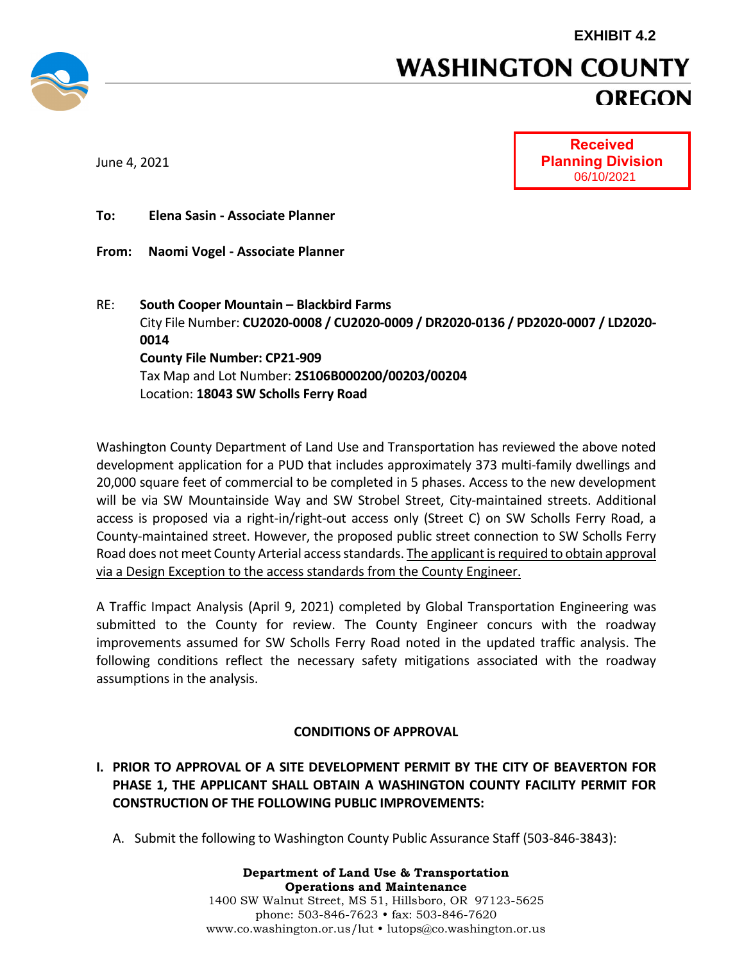

# **WASHINGTON COUNTY OREGON**

June 4, 2021



**To: Elena Sasin - Associate Planner**

- **From: Naomi Vogel - Associate Planner**
- RE: **South Cooper Mountain – Blackbird Farms** City File Number: **CU2020-0008 / CU2020-0009 / DR2020-0136 / PD2020-0007 / LD2020- 0014 County File Number: CP21-909** Tax Map and Lot Number: **2S106B000200/00203/00204** Location: **18043 SW Scholls Ferry Road**

Washington County Department of Land Use and Transportation has reviewed the above noted development application for a PUD that includes approximately 373 multi-family dwellings and 20,000 square feet of commercial to be completed in 5 phases. Access to the new development will be via SW Mountainside Way and SW Strobel Street, City-maintained streets. Additional access is proposed via a right-in/right-out access only (Street C) on SW Scholls Ferry Road, a County-maintained street. However, the proposed public street connection to SW Scholls Ferry Road does not meet County Arterial access standards. The applicant is required to obtain approval via a Design Exception to the access standards from the County Engineer.

A Traffic Impact Analysis (April 9, 2021) completed by Global Transportation Engineering was submitted to the County for review. The County Engineer concurs with the roadway improvements assumed for SW Scholls Ferry Road noted in the updated traffic analysis. The following conditions reflect the necessary safety mitigations associated with the roadway assumptions in the analysis.

### **CONDITIONS OF APPROVAL**

- **I. PRIOR TO APPROVAL OF A SITE DEVELOPMENT PERMIT BY THE CITY OF BEAVERTON FOR PHASE 1, THE APPLICANT SHALL OBTAIN A WASHINGTON COUNTY FACILITY PERMIT FOR CONSTRUCTION OF THE FOLLOWING PUBLIC IMPROVEMENTS:**
	- A. Submit the following to Washington County Public Assurance Staff (503-846-3843):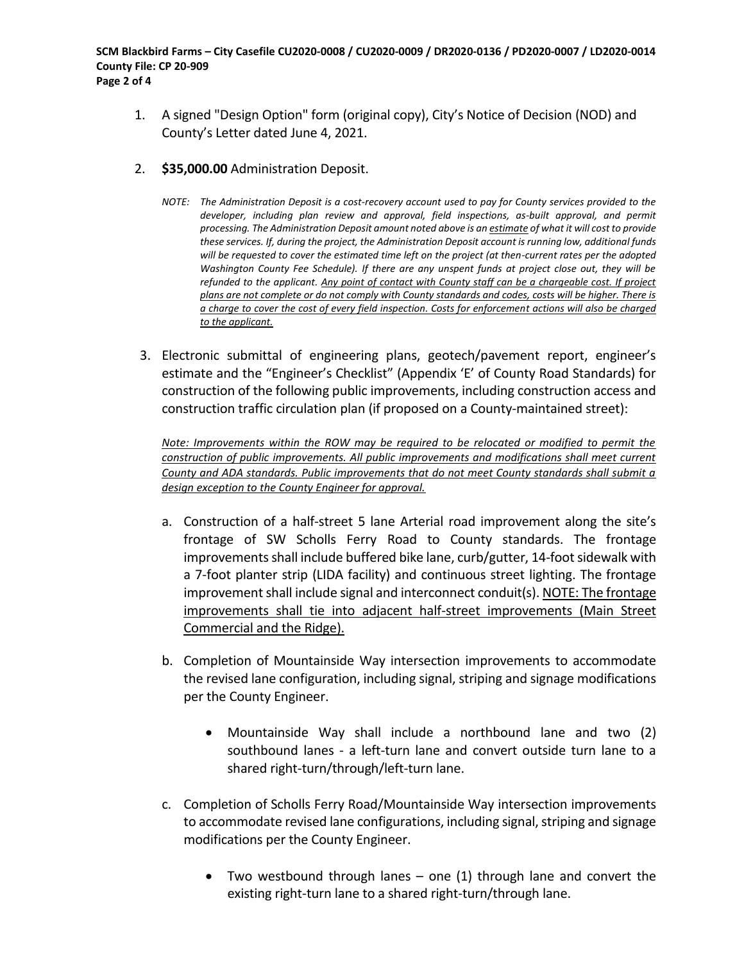- 1. A signed "Design Option" form (original copy), City's Notice of Decision (NOD) and County's Letter dated June 4, 2021.
- 2. **\$35,000.00** Administration Deposit.
	- *NOTE: The Administration Deposit is a cost-recovery account used to pay for County services provided to the developer, including plan review and approval, field inspections, as-built approval, and permit processing. The Administration Deposit amount noted above is an estimate of what it will cost to provide these services. If, during the project, the Administration Deposit account is running low, additional funds will be requested to cover the estimated time left on the project (at then-current rates per the adopted Washington County Fee Schedule). If there are any unspent funds at project close out, they will be refunded to the applicant. Any point of contact with County staff can be a chargeable cost. If project plans are not complete or do not comply with County standards and codes, costs will be higher. There is a charge to cover the cost of every field inspection. Costs for enforcement actions will also be charged to the applicant.*
- 3. Electronic submittal of engineering plans, geotech/pavement report, engineer's estimate and the "Engineer's Checklist" (Appendix 'E' of County Road Standards) for construction of the following public improvements, including construction access and construction traffic circulation plan (if proposed on a County-maintained street):

*Note: Improvements within the ROW may be required to be relocated or modified to permit the construction of public improvements. All public improvements and modifications shall meet current County and ADA standards. Public improvements that do not meet County standards shall submit a design exception to the County Engineer for approval.*

- a. Construction of a half-street 5 lane Arterial road improvement along the site's frontage of SW Scholls Ferry Road to County standards. The frontage improvements shall include buffered bike lane, curb/gutter, 14-foot sidewalk with a 7-foot planter strip (LIDA facility) and continuous street lighting. The frontage improvement shall include signal and interconnect conduit(s). NOTE: The frontage improvements shall tie into adjacent half-street improvements (Main Street Commercial and the Ridge).
- b. Completion of Mountainside Way intersection improvements to accommodate the revised lane configuration, including signal, striping and signage modifications per the County Engineer.
	- Mountainside Way shall include a northbound lane and two (2) southbound lanes - a left-turn lane and convert outside turn lane to a shared right-turn/through/left-turn lane.
- c. Completion of Scholls Ferry Road/Mountainside Way intersection improvements to accommodate revised lane configurations, including signal, striping and signage modifications per the County Engineer.
	- Two westbound through lanes one (1) through lane and convert the existing right-turn lane to a shared right-turn/through lane.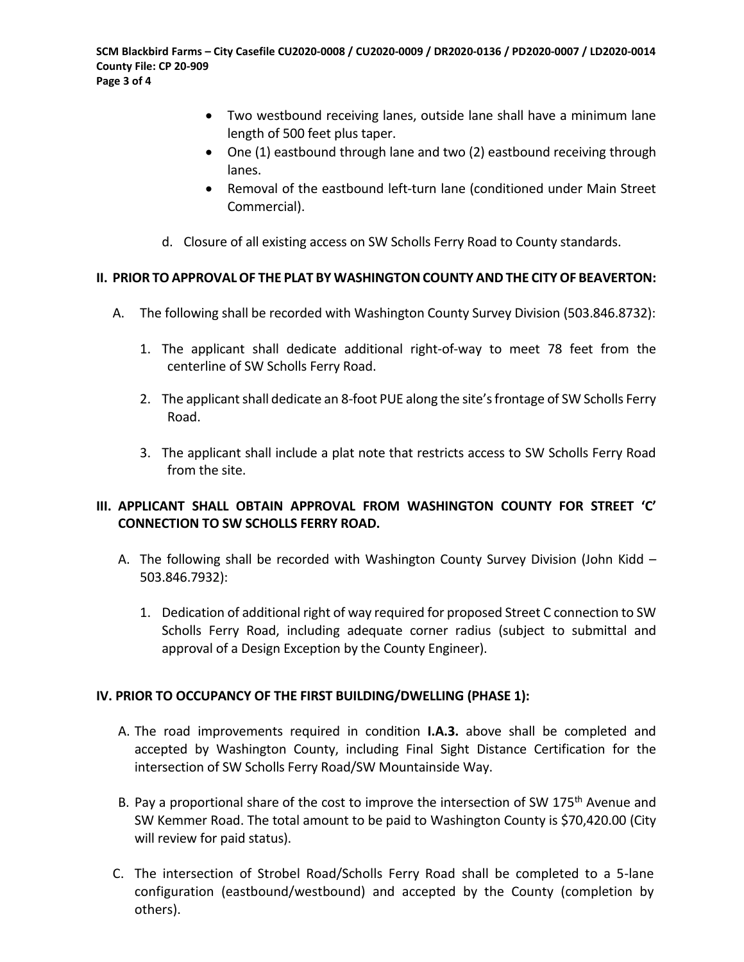- Two westbound receiving lanes, outside lane shall have a minimum lane length of 500 feet plus taper.
- One (1) eastbound through lane and two (2) eastbound receiving through lanes.
- Removal of the eastbound left-turn lane (conditioned under Main Street Commercial).
- d. Closure of all existing access on SW Scholls Ferry Road to County standards.

#### **II. PRIOR TO APPROVAL OF THE PLAT BY WASHINGTON COUNTY AND THE CITY OF BEAVERTON:**

- A. The following shall be recorded with Washington County Survey Division (503.846.8732):
	- 1. The applicant shall dedicate additional right-of-way to meet 78 feet from the centerline of SW Scholls Ferry Road.
	- 2. The applicant shall dedicate an 8-foot PUE along the site's frontage of SW Scholls Ferry Road.
	- 3. The applicant shall include a plat note that restricts access to SW Scholls Ferry Road from the site.

### **III. APPLICANT SHALL OBTAIN APPROVAL FROM WASHINGTON COUNTY FOR STREET 'C' CONNECTION TO SW SCHOLLS FERRY ROAD.**

- A. The following shall be recorded with Washington County Survey Division (John Kidd 503.846.7932):
	- 1. Dedication of additional right of way required for proposed Street C connection to SW Scholls Ferry Road, including adequate corner radius (subject to submittal and approval of a Design Exception by the County Engineer).

#### **IV. PRIOR TO OCCUPANCY OF THE FIRST BUILDING/DWELLING (PHASE 1):**

- A. The road improvements required in condition **I.A.3.** above shall be completed and accepted by Washington County, including Final Sight Distance Certification for the intersection of SW Scholls Ferry Road/SW Mountainside Way.
- B. Pay a proportional share of the cost to improve the intersection of SW 175<sup>th</sup> Avenue and SW Kemmer Road. The total amount to be paid to Washington County is \$70,420.00 (City will review for paid status).
- C. The intersection of Strobel Road/Scholls Ferry Road shall be completed to a 5-lane configuration (eastbound/westbound) and accepted by the County (completion by others).